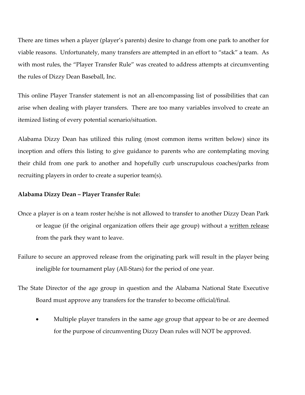There are times when a player (player's parents) desire to change from one park to another for viable reasons. Unfortunately, many transfers are attempted in an effort to "stack" a team. As with most rules, the "Player Transfer Rule" was created to address attempts at circumventing the rules of Dizzy Dean Baseball, Inc.

This online Player Transfer statement is not an all-encompassing list of possibilities that can arise when dealing with player transfers. There are too many variables involved to create an itemized listing of every potential scenario/situation.

Alabama Dizzy Dean has utilized this ruling (most common items written below) since its inception and offers this listing to give guidance to parents who are contemplating moving their child from one park to another and hopefully curb unscrupulous coaches/parks from recruiting players in order to create a superior team(s).

## **Alabama Dizzy Dean – Player Transfer Rule:**

- Once a player is on a team roster he/she is not allowed to transfer to another Dizzy Dean Park or league (if the original organization offers their age group) without a written release from the park they want to leave.
- Failure to secure an approved release from the originating park will result in the player being ineligible for tournament play (All‐Stars) for the period of one year.
- The State Director of the age group in question and the Alabama National State Executive Board must approve any transfers for the transfer to become official/final.
	- Multiple player transfers in the same age group that appear to be or are deemed for the purpose of circumventing Dizzy Dean rules will NOT be approved.